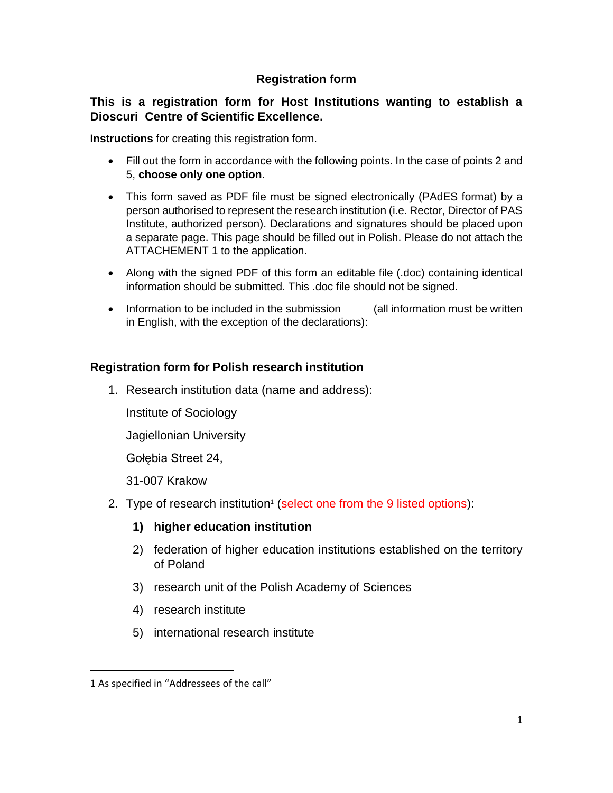## **Registration form**

## **This is a registration form for Host Institutions wanting to establish a Dioscuri Centre of Scientific Excellence.**

**Instructions** for creating this registration form.

- Fill out the form in accordance with the following points. In the case of points 2 and 5, **choose only one option**.
- This form saved as PDF file must be signed electronically (PAdES format) by a person authorised to represent the research institution (i.e. Rector, Director of PAS Institute, authorized person). Declarations and signatures should be placed upon a separate page. This page should be filled out in Polish. Please do not attach the ATTACHEMENT 1 to the application.
- Along with the signed PDF of this form an editable file (.doc) containing identical information should be submitted. This .doc file should not be signed.
- Information to be included in the submission (all information must be written in English, with the exception of the declarations):

## **Registration form for Polish research institution**

1. Research institution data (name and address):

Institute of Sociology

Jagiellonian University

Gołębia Street 24,

31-007 Krakow

- 2. Type of research institution<sup>1</sup> (select one from the 9 listed options):
	- **1) higher education institution**
	- 2) federation of higher education institutions established on the territory of Poland
	- 3) research unit of the Polish Academy of Sciences
	- 4) research institute
	- 5) international research institute

l

<sup>1</sup> As specified in "Addressees of the call"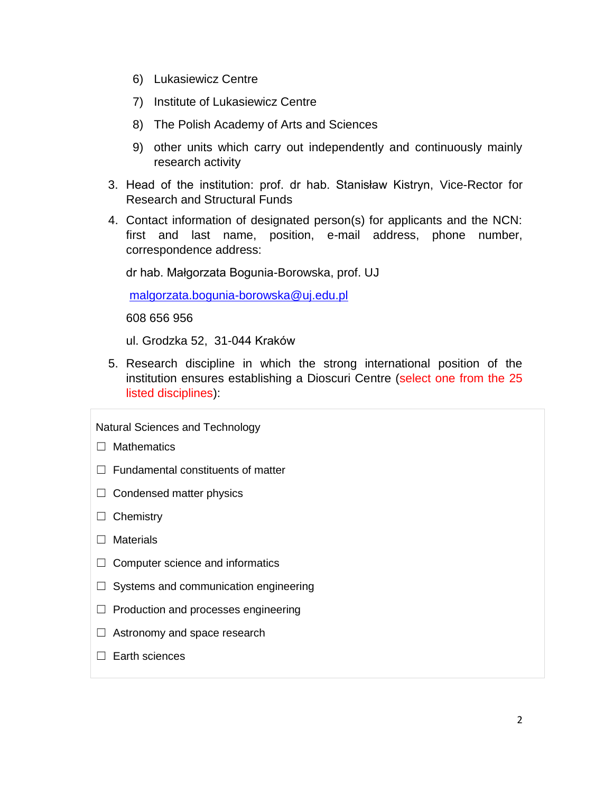- 6) Lukasiewicz Centre
- 7) Institute of Lukasiewicz Centre
- 8) The Polish Academy of Arts and Sciences
- 9) other units which carry out independently and continuously mainly research activity
- 3. Head of the institution: prof. dr hab. Stanisław Kistryn, Vice-Rector for Research and Structural Funds
- 4. Contact information of designated person(s) for applicants and the NCN: first and last name, position, e-mail address, phone number, correspondence address:

dr hab. Małgorzata Bogunia-Borowska, prof. UJ

[malgorzata.bogunia-borowska@uj.edu.pl](mailto:malgorzata.bogunia-borowska@uj.edu.pl)

608 656 956

ul. Grodzka 52, 31-044 Kraków

5. Research discipline in which the strong international position of the institution ensures establishing a Dioscuri Centre (select one from the 25 listed disciplines):

Natural Sciences and Technology

□ Mathematics

- ☐ Fundamental constituents of matter
- $\Box$  Condensed matter physics
- ☐ Chemistry
- □ Materials
- $\Box$  Computer science and informatics
- $\Box$  Systems and communication engineering
- ☐ Production and processes engineering
- $\Box$  Astronomy and space research
- □ Earth sciences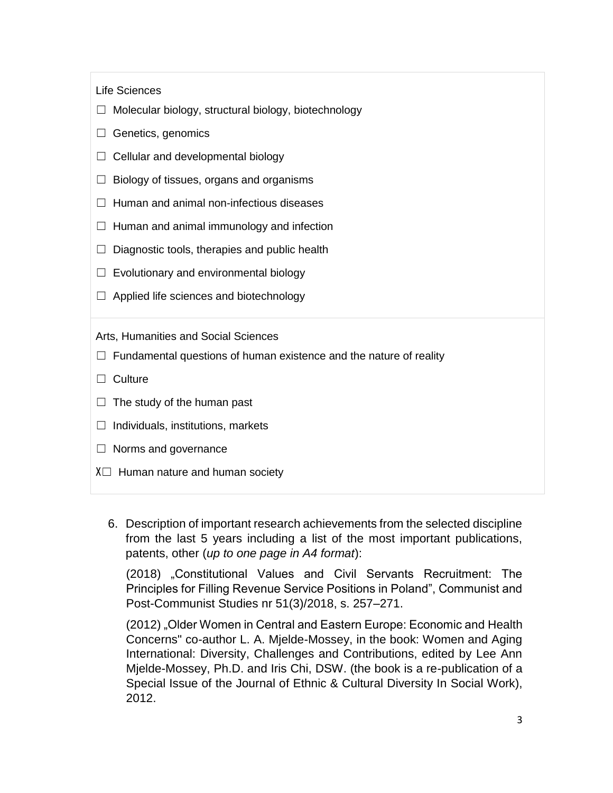Life Sciences

- ☐ Molecular biology, structural biology, biotechnology
- $\Box$  Genetics, genomics
- $\Box$  Cellular and developmental biology
- $\Box$  Biology of tissues, organs and organisms
- $\Box$  Human and animal non-infectious diseases
- $\Box$  Human and animal immunology and infection
- $\Box$  Diagnostic tools, therapies and public health
- $\Box$  Evolutionary and environmental biology
- $\Box$  Applied life sciences and biotechnology

Arts, Humanities and Social Sciences

- $\Box$  Fundamental questions of human existence and the nature of reality
- □ Culture
- $\Box$  The study of the human past
- $\Box$  Individuals, institutions, markets
- $\Box$  Norms and governance
- $X \square$  Human nature and human society
	- 6. Description of important research achievements from the selected discipline from the last 5 years including a list of the most important publications, patents, other (*up to one page in A4 format*):

(2018) "Constitutional Values and Civil Servants Recruitment: The Principles for Filling Revenue Service Positions in Poland", Communist and Post-Communist Studies nr 51(3)/2018, s. 257–271.

(2012) "Older Women in Central and Eastern Europe: Economic and Health Concerns" co-author L. A. Mjelde-Mossey, in the book: Women and Aging International: Diversity, Challenges and Contributions, edited by Lee Ann Mjelde-Mossey, Ph.D. and Iris Chi, DSW. (the book is a re-publication of a Special Issue of the Journal of Ethnic & Cultural Diversity In Social Work), 2012.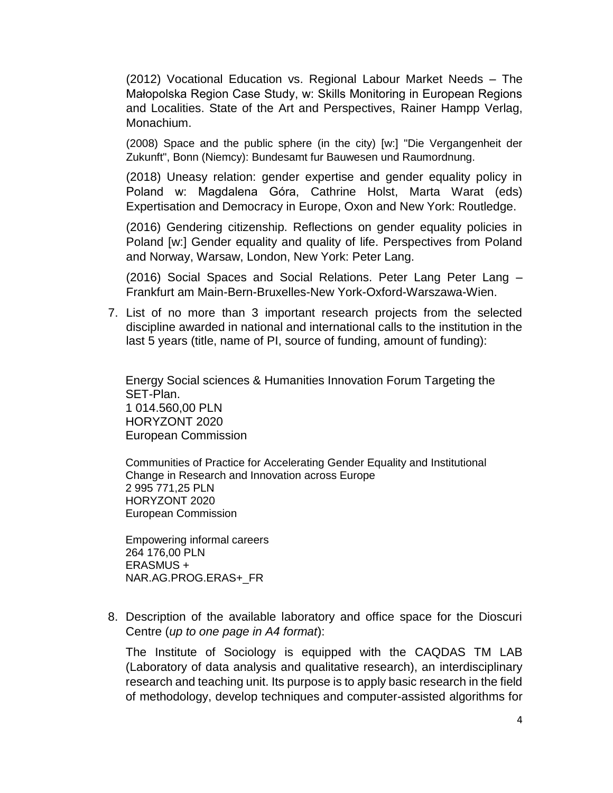(2012) Vocational Education vs. Regional Labour Market Needs – The Małopolska Region Case Study, w: Skills Monitoring in European Regions and Localities. State of the Art and Perspectives, Rainer Hampp Verlag, Monachium.

(2008) Space and the public sphere (in the city) [w:] "Die Vergangenheit der Zukunft", Bonn (Niemcy): Bundesamt fur Bauwesen und Raumordnung.

(2018) Uneasy relation: gender expertise and gender equality policy in Poland w: Magdalena Góra, Cathrine Holst, Marta Warat (eds) Expertisation and Democracy in Europe, Oxon and New York: Routledge.

(2016) Gendering citizenship. Reflections on gender equality policies in Poland [w:] Gender equality and quality of life. Perspectives from Poland and Norway, Warsaw, London, New York: Peter Lang.

(2016) Social Spaces and Social Relations. Peter Lang Peter Lang – Frankfurt am Main-Bern-Bruxelles-New York-Oxford-Warszawa-Wien.

7. List of no more than 3 important research projects from the selected discipline awarded in national and international calls to the institution in the last 5 years (title, name of PI, source of funding, amount of funding):

Energy Social sciences & Humanities Innovation Forum Targeting the SET-Plan. 1 014.560,00 PLN HORYZONT 2020 European Commission

Communities of Practice for Accelerating Gender Equality and Institutional Change in Research and Innovation across Europe 2 995 771,25 PLN HORYZONT 2020 European Commission

Empowering informal careers 264 176,00 PLN ERASMUS + NAR.AG.PROG.ERAS+\_FR

8. Description of the available laboratory and office space for the Dioscuri Centre (*up to one page in A4 format*):

The Institute of Sociology is equipped with the CAQDAS TM LAB (Laboratory of data analysis and qualitative research), an interdisciplinary research and teaching unit. Its purpose is to apply basic research in the field of methodology, develop techniques and computer-assisted algorithms for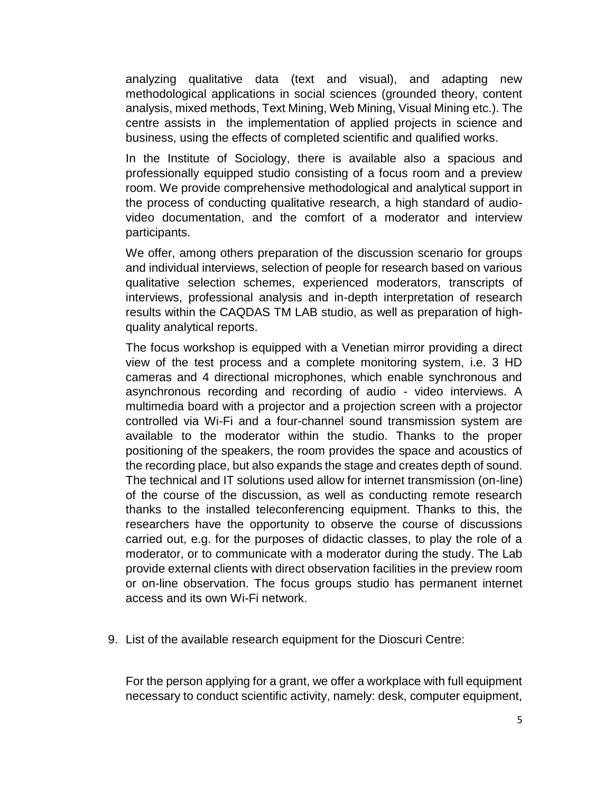analyzing qualitative data (text and visual), and adapting new methodological applications in social sciences (grounded theory, content analysis, mixed methods, Text Mining, Web Mining, Visual Mining etc.). The centre assists in the implementation of applied projects in science and business, using the effects of completed scientific and qualified works.

In the Institute of Sociology, there is available also a spacious and professionally equipped studio consisting of a focus room and a preview room. We provide comprehensive methodological and analytical support in the process of conducting qualitative research, a high standard of audiovideo documentation, and the comfort of a moderator and interview participants.

We offer, among others preparation of the discussion scenario for groups and individual interviews, selection of people for research based on various qualitative selection schemes, experienced moderators, transcripts of interviews, professional analysis and in-depth interpretation of research results within the CAQDAS TM LAB studio, as well as preparation of highquality analytical reports.

The focus workshop is equipped with a Venetian mirror providing a direct view of the test process and a complete monitoring system, i.e. 3 HD cameras and 4 directional microphones, which enable synchronous and asynchronous recording and recording of audio - video interviews. A multimedia board with a projector and a projection screen with a projector controlled via Wi-Fi and a four-channel sound transmission system are available to the moderator within the studio. Thanks to the proper positioning of the speakers, the room provides the space and acoustics of the recording place, but also expands the stage and creates depth of sound. The technical and IT solutions used allow for internet transmission (on-line) of the course of the discussion, as well as conducting remote research thanks to the installed teleconferencing equipment. Thanks to this, the researchers have the opportunity to observe the course of discussions carried out, e.g. for the purposes of didactic classes, to play the role of a moderator, or to communicate with a moderator during the study. The Lab provide external clients with direct observation facilities in the preview room or on-line observation. The focus groups studio has permanent internet access and its own Wi-Fi network.

9. List of the available research equipment for the Dioscuri Centre:

For the person applying for a grant, we offer a workplace with full equipment necessary to conduct scientific activity, namely: desk, computer equipment,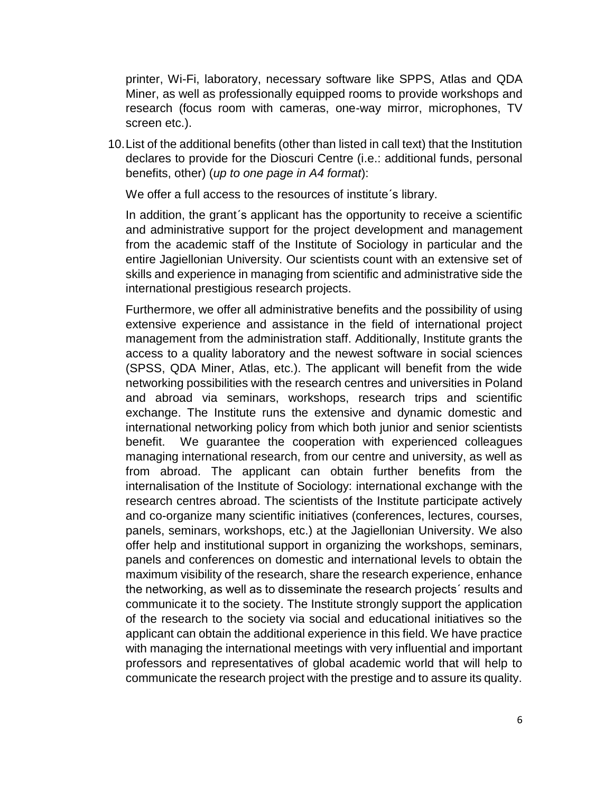printer, Wi-Fi, laboratory, necessary software like SPPS, Atlas and QDA Miner, as well as professionally equipped rooms to provide workshops and research (focus room with cameras, one-way mirror, microphones, TV screen etc.).

10.List of the additional benefits (other than listed in call text) that the Institution declares to provide for the Dioscuri Centre (i.e.: additional funds, personal benefits, other) (*up to one page in A4 format*):

We offer a full access to the resources of institute's library.

In addition, the grant´s applicant has the opportunity to receive a scientific and administrative support for the project development and management from the academic staff of the Institute of Sociology in particular and the entire Jagiellonian University. Our scientists count with an extensive set of skills and experience in managing from scientific and administrative side the international prestigious research projects.

Furthermore, we offer all administrative benefits and the possibility of using extensive experience and assistance in the field of international project management from the administration staff. Additionally, Institute grants the access to a quality laboratory and the newest software in social sciences (SPSS, QDA Miner, Atlas, etc.). The applicant will benefit from the wide networking possibilities with the research centres and universities in Poland and abroad via seminars, workshops, research trips and scientific exchange. The Institute runs the extensive and dynamic domestic and international networking policy from which both junior and senior scientists benefit. We guarantee the cooperation with experienced colleagues managing international research, from our centre and university, as well as from abroad. The applicant can obtain further benefits from the internalisation of the Institute of Sociology: international exchange with the research centres abroad. The scientists of the Institute participate actively and co-organize many scientific initiatives (conferences, lectures, courses, panels, seminars, workshops, etc.) at the Jagiellonian University. We also offer help and institutional support in organizing the workshops, seminars, panels and conferences on domestic and international levels to obtain the maximum visibility of the research, share the research experience, enhance the networking, as well as to disseminate the research projects´ results and communicate it to the society. The Institute strongly support the application of the research to the society via social and educational initiatives so the applicant can obtain the additional experience in this field. We have practice with managing the international meetings with very influential and important professors and representatives of global academic world that will help to communicate the research project with the prestige and to assure its quality.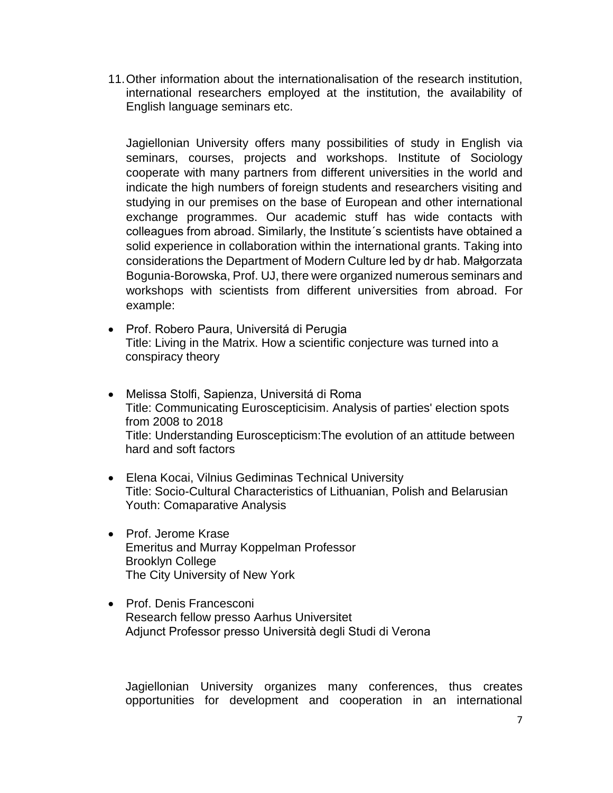11.Other information about the internationalisation of the research institution, international researchers employed at the institution, the availability of English language seminars etc.

Jagiellonian University offers many possibilities of study in English via seminars, courses, projects and workshops. Institute of Sociology cooperate with many partners from different universities in the world and indicate the high numbers of foreign students and researchers visiting and studying in our premises on the base of European and other international exchange programmes. Our academic stuff has wide contacts with colleagues from abroad. Similarly, the Institute´s scientists have obtained a solid experience in collaboration within the international grants. Taking into considerations the Department of Modern Culture led by dr hab. Małgorzata Bogunia-Borowska, Prof. UJ, there were organized numerous seminars and workshops with scientists from different universities from abroad. For example:

- Prof. Robero Paura, Universitá di Perugia Title: Living in the Matrix. How a scientific conjecture was turned into a conspiracy theory
- Melissa Stolfi, Sapienza, Universitá di Roma Title: Communicating Euroscepticisim. Analysis of parties' election spots from 2008 to 2018 Title: Understanding Euroscepticism:The evolution of an attitude between hard and soft factors
- Elena Kocai, Vilnius Gediminas Technical University Title: Socio-Cultural Characteristics of Lithuanian, Polish and Belarusian Youth: Comaparative Analysis
- Prof. Jerome Krase Emeritus and Murray Koppelman Professor Brooklyn College The City University of New York
- Prof. Denis Francesconi Research fellow presso Aarhus Universitet Adjunct Professor presso Università degli Studi di Verona

Jagiellonian University organizes many conferences, thus creates opportunities for development and cooperation in an international